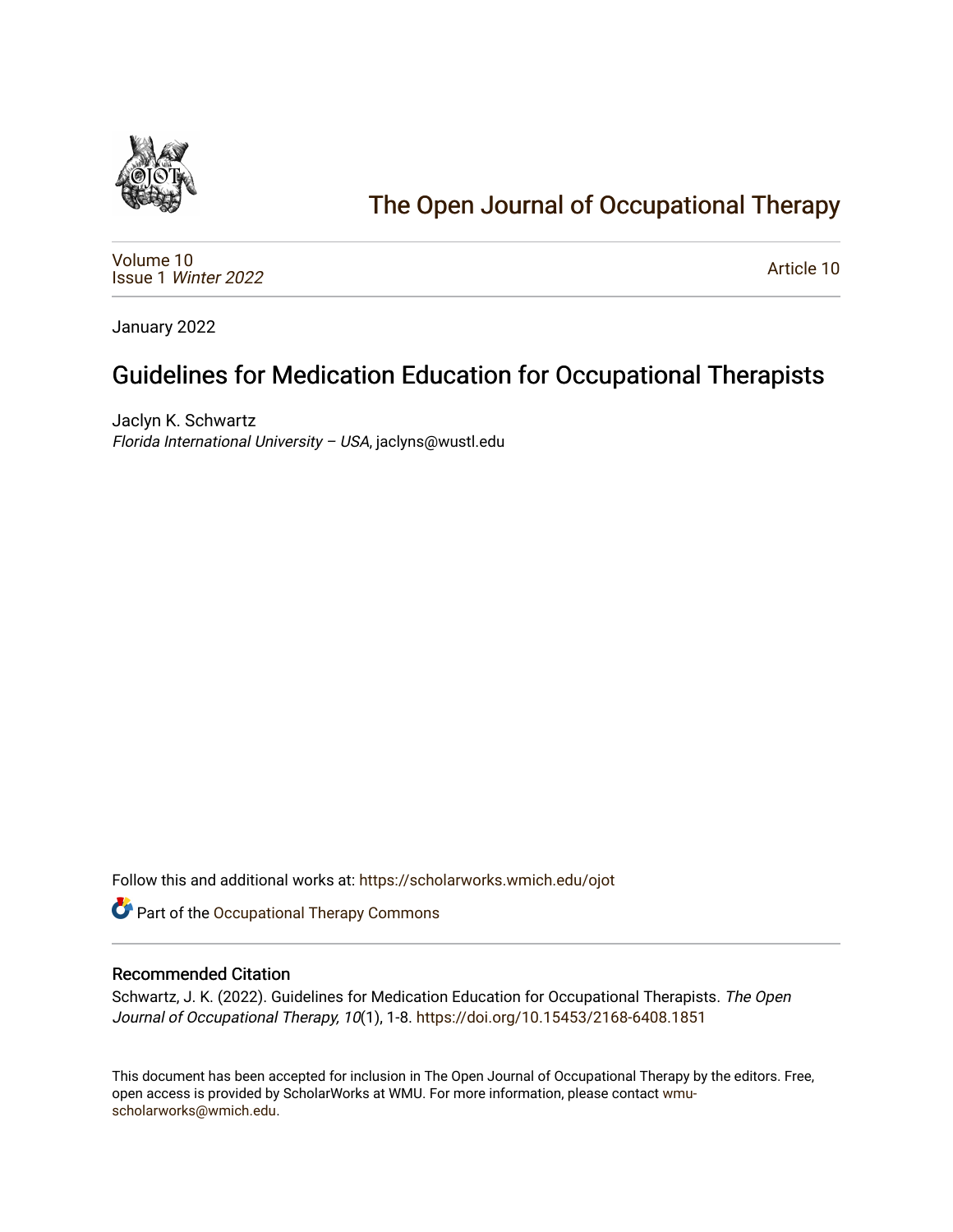

# [The Open Journal of Occupational Therapy](https://scholarworks.wmich.edu/ojot)

[Volume 10](https://scholarworks.wmich.edu/ojot/vol10) Issue 1 [Winter 2022](https://scholarworks.wmich.edu/ojot/vol10/iss1) 

[Article 10](https://scholarworks.wmich.edu/ojot/vol10/iss1/10) 

January 2022

## Guidelines for Medication Education for Occupational Therapists

Jaclyn K. Schwartz Florida International University – USA, jaclyns@wustl.edu

Follow this and additional works at: [https://scholarworks.wmich.edu/ojot](https://scholarworks.wmich.edu/ojot?utm_source=scholarworks.wmich.edu%2Fojot%2Fvol10%2Fiss1%2F10&utm_medium=PDF&utm_campaign=PDFCoverPages)

Part of the [Occupational Therapy Commons](http://network.bepress.com/hgg/discipline/752?utm_source=scholarworks.wmich.edu%2Fojot%2Fvol10%2Fiss1%2F10&utm_medium=PDF&utm_campaign=PDFCoverPages) 

#### Recommended Citation

Schwartz, J. K. (2022). Guidelines for Medication Education for Occupational Therapists. The Open Journal of Occupational Therapy, 10(1), 1-8. <https://doi.org/10.15453/2168-6408.1851>

This document has been accepted for inclusion in The Open Journal of Occupational Therapy by the editors. Free, open access is provided by ScholarWorks at WMU. For more information, please contact [wmu](mailto:wmu-scholarworks@wmich.edu)[scholarworks@wmich.edu.](mailto:wmu-scholarworks@wmich.edu)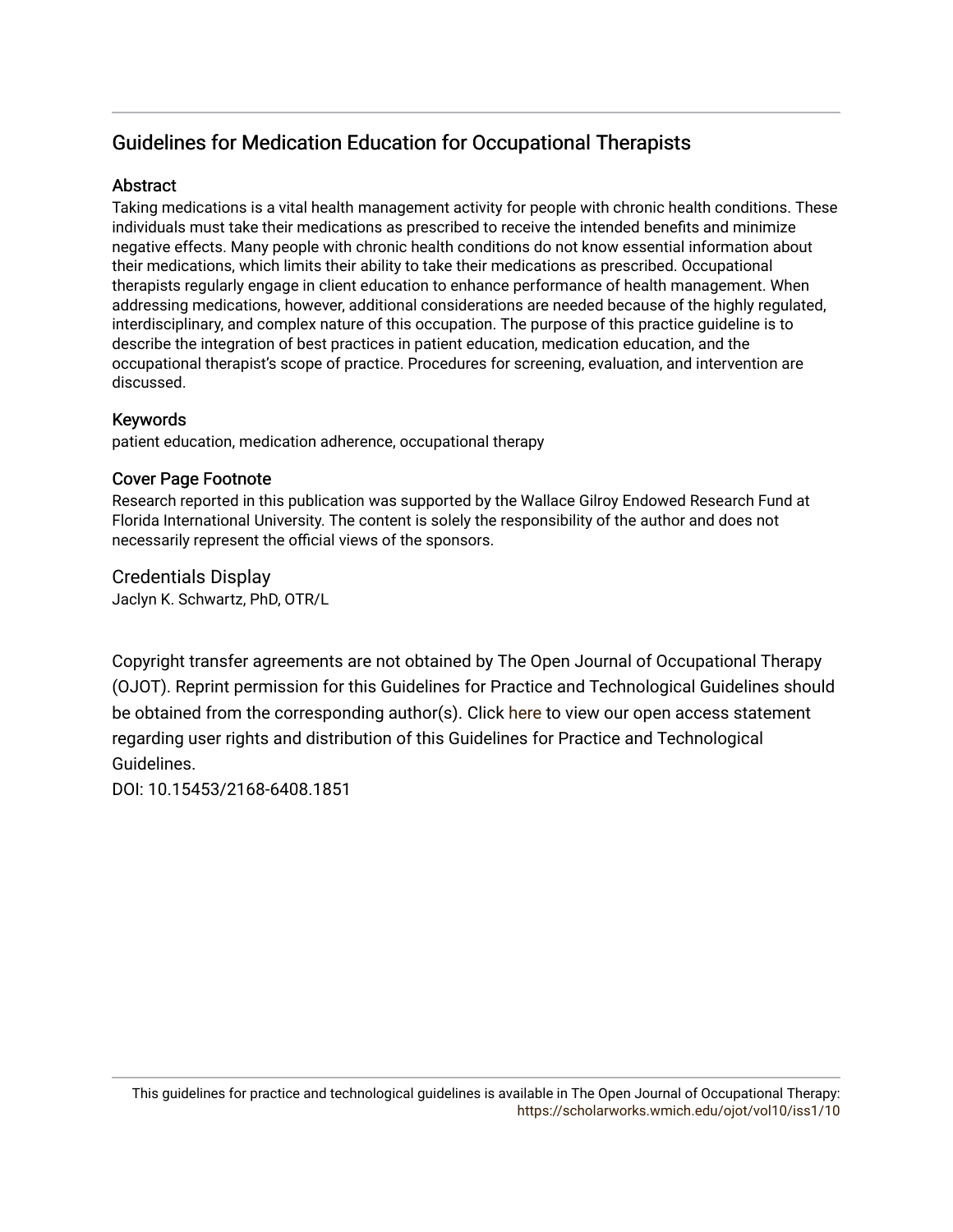## Guidelines for Medication Education for Occupational Therapists

#### **Abstract**

Taking medications is a vital health management activity for people with chronic health conditions. These individuals must take their medications as prescribed to receive the intended benefits and minimize negative effects. Many people with chronic health conditions do not know essential information about their medications, which limits their ability to take their medications as prescribed. Occupational therapists regularly engage in client education to enhance performance of health management. When addressing medications, however, additional considerations are needed because of the highly regulated, interdisciplinary, and complex nature of this occupation. The purpose of this practice guideline is to describe the integration of best practices in patient education, medication education, and the occupational therapist's scope of practice. Procedures for screening, evaluation, and intervention are discussed.

#### Keywords

patient education, medication adherence, occupational therapy

#### Cover Page Footnote

Research reported in this publication was supported by the Wallace Gilroy Endowed Research Fund at Florida International University. The content is solely the responsibility of the author and does not necessarily represent the official views of the sponsors.

Credentials Display Jaclyn K. Schwartz, PhD, OTR/L

Copyright transfer agreements are not obtained by The Open Journal of Occupational Therapy (OJOT). Reprint permission for this Guidelines for Practice and Technological Guidelines should be obtained from the corresponding author(s). Click [here](https://scholarworks.wmich.edu/ojot/policies.html#rights) to view our open access statement regarding user rights and distribution of this Guidelines for Practice and Technological Guidelines.

DOI: 10.15453/2168-6408.1851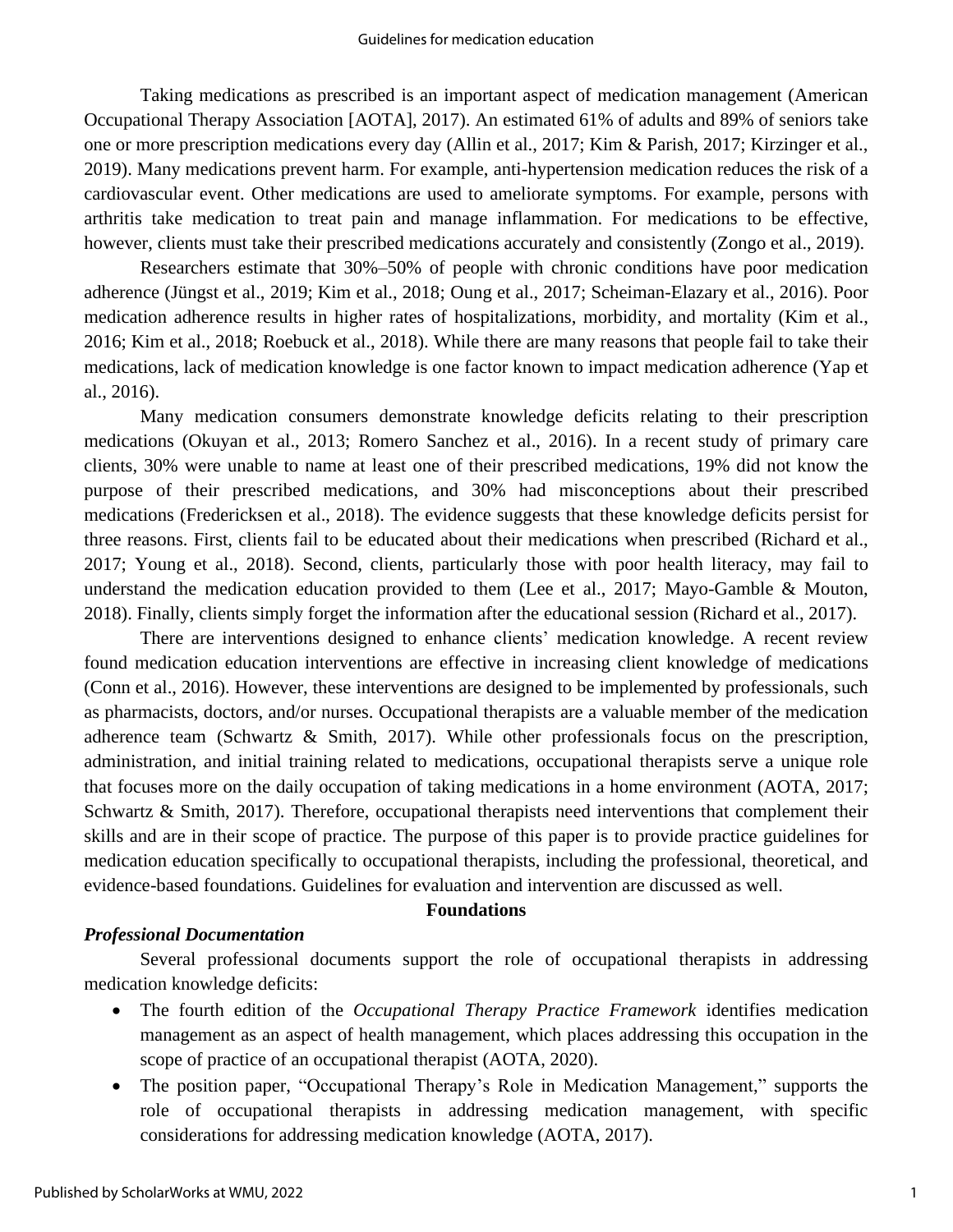Taking medications as prescribed is an important aspect of medication management (American Occupational Therapy Association [AOTA], 2017). An estimated 61% of adults and 89% of seniors take one or more prescription medications every day (Allin et al., 2017; Kim & Parish, 2017; Kirzinger et al., 2019). Many medications prevent harm. For example, anti-hypertension medication reduces the risk of a cardiovascular event. Other medications are used to ameliorate symptoms. For example, persons with arthritis take medication to treat pain and manage inflammation. For medications to be effective, however, clients must take their prescribed medications accurately and consistently (Zongo et al., 2019).

Researchers estimate that 30%–50% of people with chronic conditions have poor medication adherence (Jüngst et al., 2019; Kim et al., 2018; Oung et al., 2017; Scheiman-Elazary et al., 2016). Poor medication adherence results in higher rates of hospitalizations, morbidity, and mortality (Kim et al., 2016; Kim et al., 2018; Roebuck et al., 2018). While there are many reasons that people fail to take their medications, lack of medication knowledge is one factor known to impact medication adherence (Yap et al., 2016).

Many medication consumers demonstrate knowledge deficits relating to their prescription medications (Okuyan et al., 2013; Romero Sanchez et al., 2016). In a recent study of primary care clients, 30% were unable to name at least one of their prescribed medications, 19% did not know the purpose of their prescribed medications, and 30% had misconceptions about their prescribed medications (Fredericksen et al., 2018). The evidence suggests that these knowledge deficits persist for three reasons. First, clients fail to be educated about their medications when prescribed (Richard et al., 2017; Young et al., 2018). Second, clients, particularly those with poor health literacy, may fail to understand the medication education provided to them (Lee et al., 2017; Mayo-Gamble & Mouton, 2018). Finally, clients simply forget the information after the educational session (Richard et al., 2017).

There are interventions designed to enhance clients' medication knowledge. A recent review found medication education interventions are effective in increasing client knowledge of medications (Conn et al., 2016). However, these interventions are designed to be implemented by professionals, such as pharmacists, doctors, and/or nurses. Occupational therapists are a valuable member of the medication adherence team (Schwartz & Smith, 2017). While other professionals focus on the prescription, administration, and initial training related to medications, occupational therapists serve a unique role that focuses more on the daily occupation of taking medications in a home environment (AOTA, 2017; Schwartz & Smith, 2017). Therefore, occupational therapists need interventions that complement their skills and are in their scope of practice. The purpose of this paper is to provide practice guidelines for medication education specifically to occupational therapists, including the professional, theoretical, and evidence-based foundations. Guidelines for evaluation and intervention are discussed as well.

#### **Foundations**

#### *Professional Documentation*

Several professional documents support the role of occupational therapists in addressing medication knowledge deficits:

- The fourth edition of the *Occupational Therapy Practice Framework* identifies medication management as an aspect of health management, which places addressing this occupation in the scope of practice of an occupational therapist (AOTA, 2020).
- The position paper, "Occupational Therapy's Role in Medication Management," supports the role of occupational therapists in addressing medication management, with specific considerations for addressing medication knowledge (AOTA, 2017).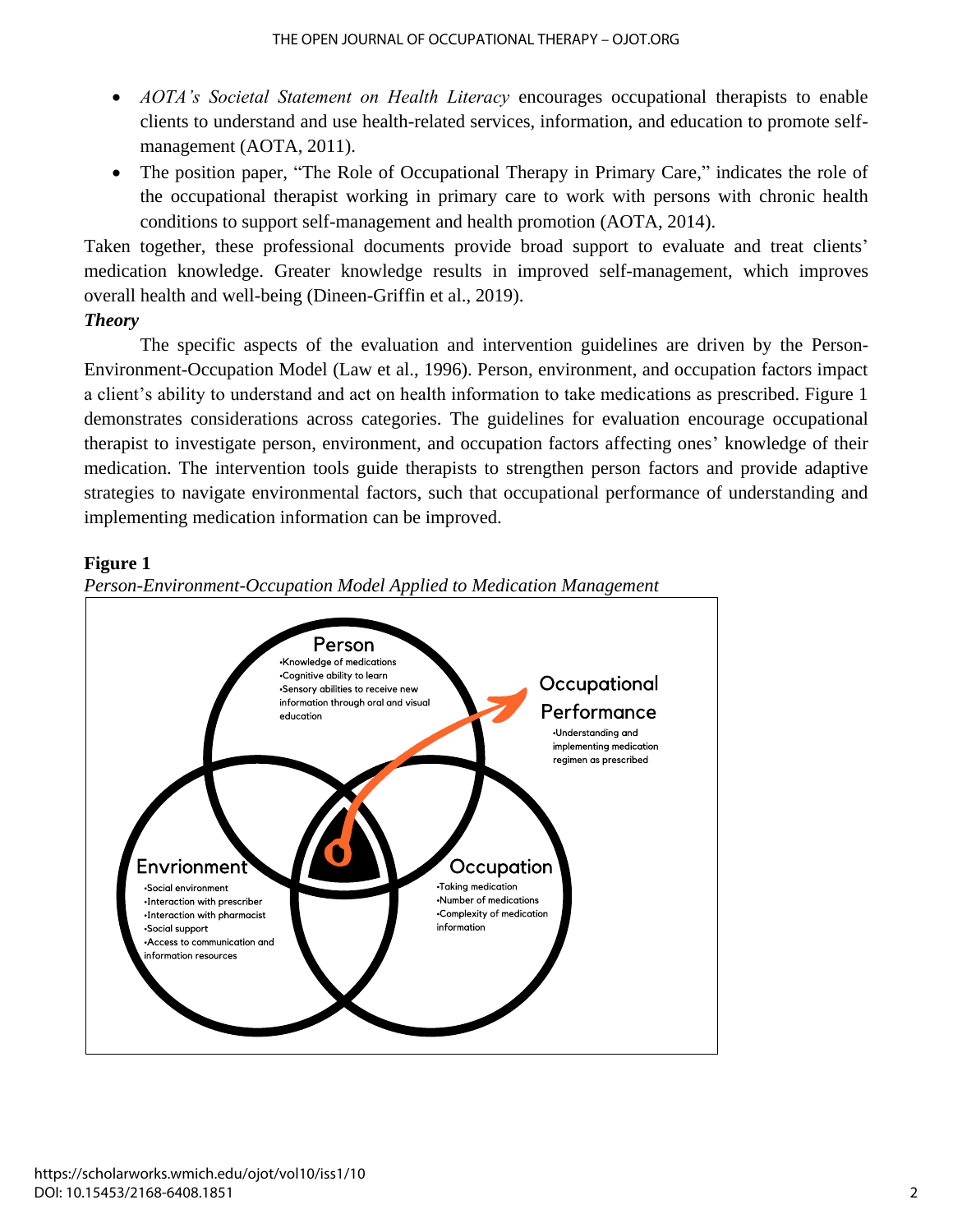- *AOTA's Societal Statement on Health Literacy* encourages occupational therapists to enable clients to understand and use health-related services, information, and education to promote selfmanagement (AOTA, 2011).
- The position paper, "The Role of Occupational Therapy in Primary Care," indicates the role of the occupational therapist working in primary care to work with persons with chronic health conditions to support self-management and health promotion (AOTA, 2014).

Taken together, these professional documents provide broad support to evaluate and treat clients' medication knowledge. Greater knowledge results in improved self-management, which improves overall health and well-being (Dineen-Griffin et al., 2019).

### *Theory*

The specific aspects of the evaluation and intervention guidelines are driven by the Person-Environment-Occupation Model (Law et al., 1996). Person, environment, and occupation factors impact a client's ability to understand and act on health information to take medications as prescribed. Figure 1 demonstrates considerations across categories. The guidelines for evaluation encourage occupational therapist to investigate person, environment, and occupation factors affecting ones' knowledge of their medication. The intervention tools guide therapists to strengthen person factors and provide adaptive strategies to navigate environmental factors, such that occupational performance of understanding and implementing medication information can be improved.

### **Figure 1**



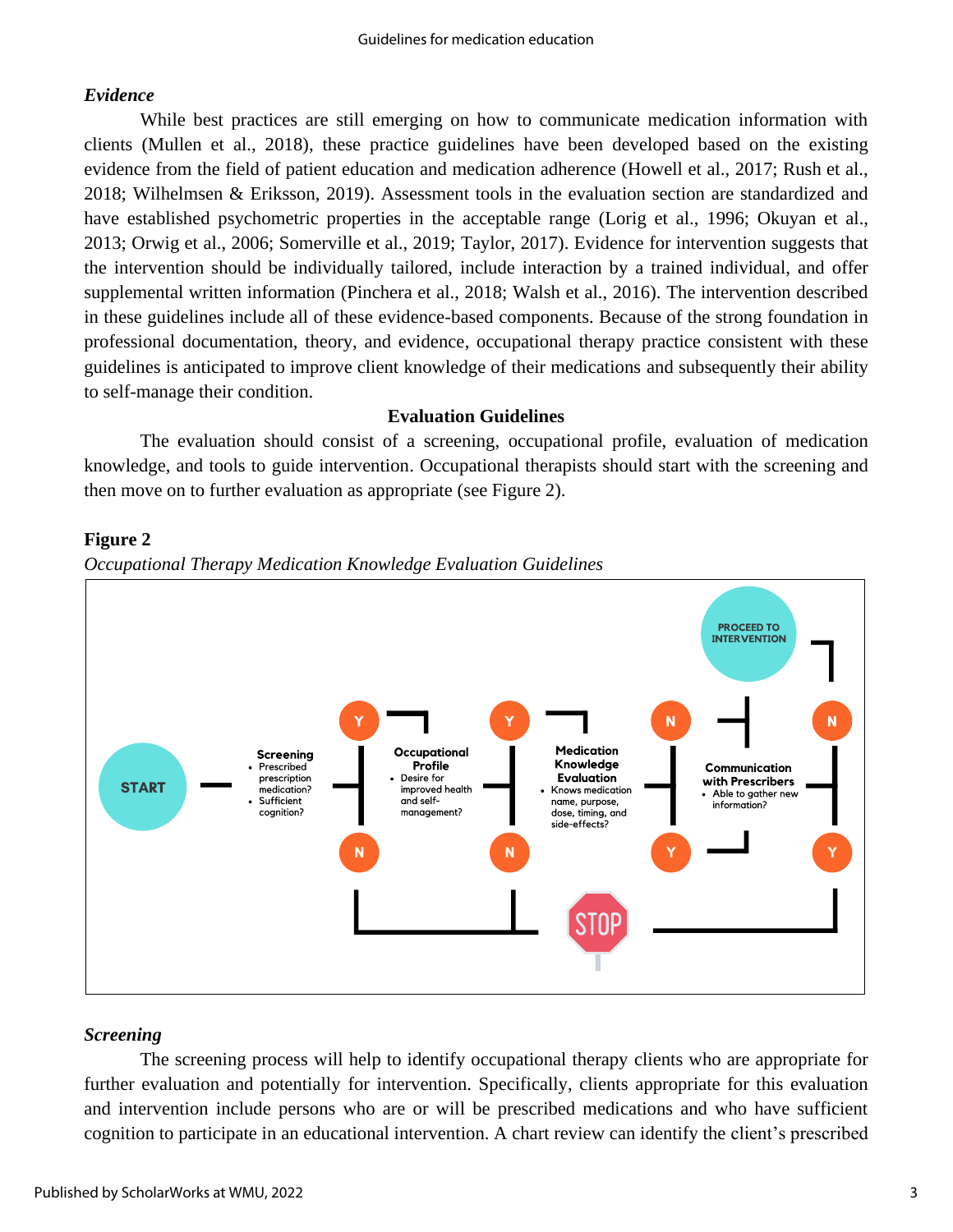#### *Evidence*

While best practices are still emerging on how to communicate medication information with clients (Mullen et al., 2018), these practice guidelines have been developed based on the existing evidence from the field of patient education and medication adherence (Howell et al., 2017; Rush et al., 2018; Wilhelmsen & Eriksson, 2019). Assessment tools in the evaluation section are standardized and have established psychometric properties in the acceptable range (Lorig et al., 1996; Okuyan et al., 2013; Orwig et al., 2006; Somerville et al., 2019; Taylor, 2017). Evidence for intervention suggests that the intervention should be individually tailored, include interaction by a trained individual, and offer supplemental written information (Pinchera et al., 2018; Walsh et al., 2016). The intervention described in these guidelines include all of these evidence-based components. Because of the strong foundation in professional documentation, theory, and evidence, occupational therapy practice consistent with these guidelines is anticipated to improve client knowledge of their medications and subsequently their ability to self-manage their condition.

#### **Evaluation Guidelines**

The evaluation should consist of a screening, occupational profile, evaluation of medication knowledge, and tools to guide intervention. Occupational therapists should start with the screening and then move on to further evaluation as appropriate (see Figure 2).

#### **Figure 2**





## *Screening*

The screening process will help to identify occupational therapy clients who are appropriate for further evaluation and potentially for intervention. Specifically, clients appropriate for this evaluation and intervention include persons who are or will be prescribed medications and who have sufficient cognition to participate in an educational intervention. A chart review can identify the client's prescribed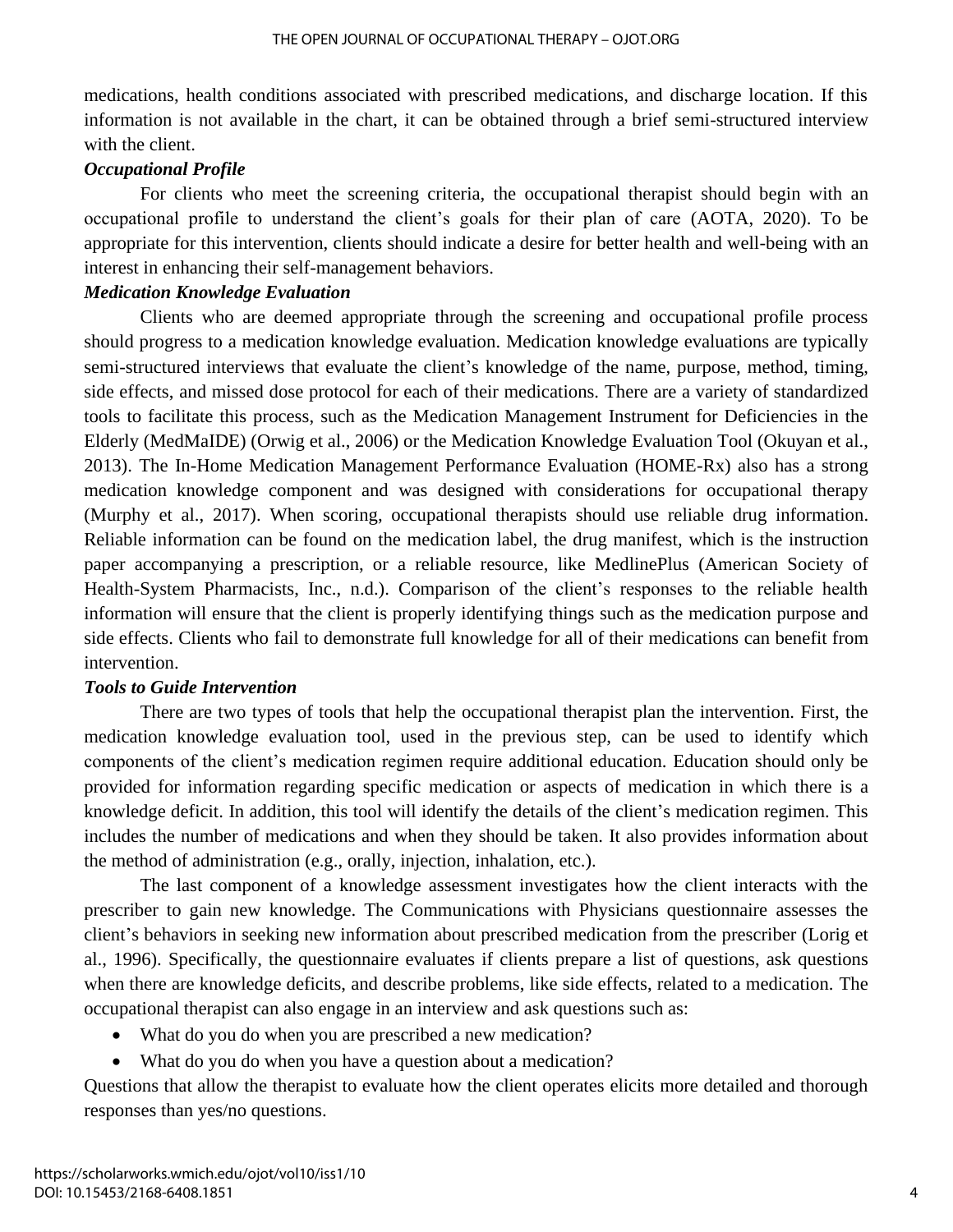medications, health conditions associated with prescribed medications, and discharge location. If this information is not available in the chart, it can be obtained through a brief semi-structured interview with the client.

#### *Occupational Profile*

For clients who meet the screening criteria, the occupational therapist should begin with an occupational profile to understand the client's goals for their plan of care (AOTA, 2020). To be appropriate for this intervention, clients should indicate a desire for better health and well-being with an interest in enhancing their self-management behaviors.

#### *Medication Knowledge Evaluation*

Clients who are deemed appropriate through the screening and occupational profile process should progress to a medication knowledge evaluation. Medication knowledge evaluations are typically semi-structured interviews that evaluate the client's knowledge of the name, purpose, method, timing, side effects, and missed dose protocol for each of their medications. There are a variety of standardized tools to facilitate this process, such as the Medication Management Instrument for Deficiencies in the Elderly (MedMaIDE) (Orwig et al., 2006) or the Medication Knowledge Evaluation Tool (Okuyan et al., 2013). The In-Home Medication Management Performance Evaluation (HOME-Rx) also has a strong medication knowledge component and was designed with considerations for occupational therapy (Murphy et al., 2017). When scoring, occupational therapists should use reliable drug information. Reliable information can be found on the medication label, the drug manifest, which is the instruction paper accompanying a prescription, or a reliable resource, like MedlinePlus (American Society of Health-System Pharmacists, Inc., n.d.). Comparison of the client's responses to the reliable health information will ensure that the client is properly identifying things such as the medication purpose and side effects. Clients who fail to demonstrate full knowledge for all of their medications can benefit from intervention.

#### *Tools to Guide Intervention*

There are two types of tools that help the occupational therapist plan the intervention. First, the medication knowledge evaluation tool, used in the previous step, can be used to identify which components of the client's medication regimen require additional education. Education should only be provided for information regarding specific medication or aspects of medication in which there is a knowledge deficit. In addition, this tool will identify the details of the client's medication regimen. This includes the number of medications and when they should be taken. It also provides information about the method of administration (e.g., orally, injection, inhalation, etc.).

The last component of a knowledge assessment investigates how the client interacts with the prescriber to gain new knowledge. The Communications with Physicians questionnaire assesses the client's behaviors in seeking new information about prescribed medication from the prescriber (Lorig et al., 1996). Specifically, the questionnaire evaluates if clients prepare a list of questions, ask questions when there are knowledge deficits, and describe problems, like side effects, related to a medication. The occupational therapist can also engage in an interview and ask questions such as:

- What do you do when you are prescribed a new medication?
- What do you do when you have a question about a medication?

Questions that allow the therapist to evaluate how the client operates elicits more detailed and thorough responses than yes/no questions.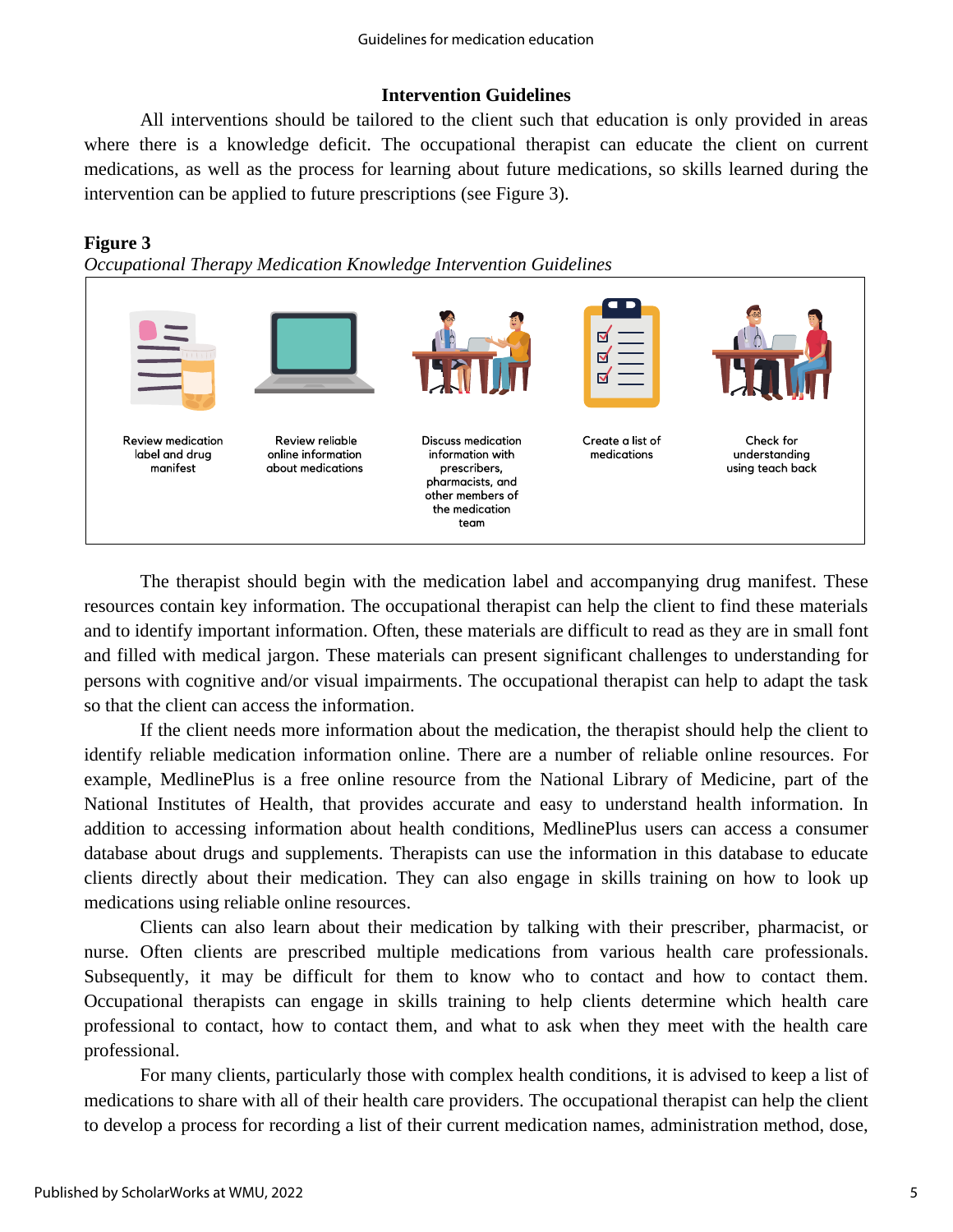#### **Intervention Guidelines**

All interventions should be tailored to the client such that education is only provided in areas where there is a knowledge deficit. The occupational therapist can educate the client on current medications, as well as the process for learning about future medications, so skills learned during the intervention can be applied to future prescriptions (see Figure 3).

#### **Figure 3**

*Occupational Therapy Medication Knowledge Intervention Guidelines*



The therapist should begin with the medication label and accompanying drug manifest. These resources contain key information. The occupational therapist can help the client to find these materials and to identify important information. Often, these materials are difficult to read as they are in small font and filled with medical jargon. These materials can present significant challenges to understanding for persons with cognitive and/or visual impairments. The occupational therapist can help to adapt the task so that the client can access the information.

If the client needs more information about the medication, the therapist should help the client to identify reliable medication information online. There are a number of reliable online resources. For example, MedlinePlus is a free online resource from the National Library of Medicine, part of the National Institutes of Health, that provides accurate and easy to understand health information. In addition to accessing information about health conditions, MedlinePlus users can access a consumer database about drugs and supplements. Therapists can use the information in this database to educate clients directly about their medication. They can also engage in skills training on how to look up medications using reliable online resources.

Clients can also learn about their medication by talking with their prescriber, pharmacist, or nurse. Often clients are prescribed multiple medications from various health care professionals. Subsequently, it may be difficult for them to know who to contact and how to contact them. Occupational therapists can engage in skills training to help clients determine which health care professional to contact, how to contact them, and what to ask when they meet with the health care professional.

For many clients, particularly those with complex health conditions, it is advised to keep a list of medications to share with all of their health care providers. The occupational therapist can help the client to develop a process for recording a list of their current medication names, administration method, dose,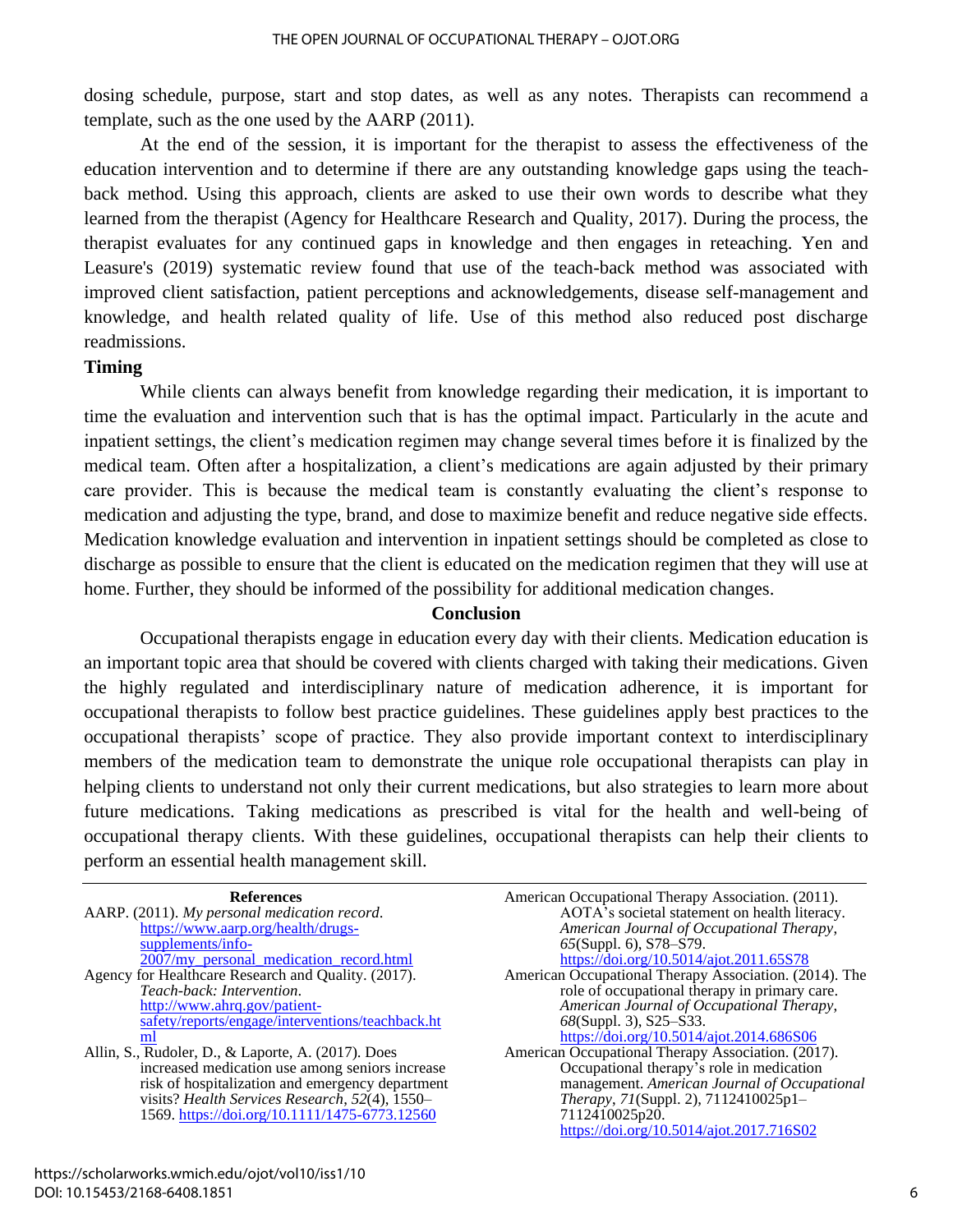dosing schedule, purpose, start and stop dates, as well as any notes. Therapists can recommend a template, such as the one used by the AARP (2011).

At the end of the session, it is important for the therapist to assess the effectiveness of the education intervention and to determine if there are any outstanding knowledge gaps using the teachback method. Using this approach, clients are asked to use their own words to describe what they learned from the therapist (Agency for Healthcare Research and Quality, 2017). During the process, the therapist evaluates for any continued gaps in knowledge and then engages in reteaching. Yen and Leasure's (2019) systematic review found that use of the teach-back method was associated with improved client satisfaction, patient perceptions and acknowledgements, disease self-management and knowledge, and health related quality of life. Use of this method also reduced post discharge readmissions.

#### **Timing**

While clients can always benefit from knowledge regarding their medication, it is important to time the evaluation and intervention such that is has the optimal impact. Particularly in the acute and inpatient settings, the client's medication regimen may change several times before it is finalized by the medical team. Often after a hospitalization, a client's medications are again adjusted by their primary care provider. This is because the medical team is constantly evaluating the client's response to medication and adjusting the type, brand, and dose to maximize benefit and reduce negative side effects. Medication knowledge evaluation and intervention in inpatient settings should be completed as close to discharge as possible to ensure that the client is educated on the medication regimen that they will use at home. Further, they should be informed of the possibility for additional medication changes.

#### **Conclusion**

Occupational therapists engage in education every day with their clients. Medication education is an important topic area that should be covered with clients charged with taking their medications. Given the highly regulated and interdisciplinary nature of medication adherence, it is important for occupational therapists to follow best practice guidelines. These guidelines apply best practices to the occupational therapists' scope of practice. They also provide important context to interdisciplinary members of the medication team to demonstrate the unique role occupational therapists can play in helping clients to understand not only their current medications, but also strategies to learn more about future medications. Taking medications as prescribed is vital for the health and well-being of occupational therapy clients. With these guidelines, occupational therapists can help their clients to perform an essential health management skill.

| <b>References</b> |
|-------------------|
|-------------------|

| AARP. (2011). My personal medication record.        |
|-----------------------------------------------------|
| https://www.aarp.org/health/drugs-                  |
| supplements/info-                                   |
| 2007/my_personal_medication_record.html             |
| Agency for Healthcare Research and Quality. (2017). |
| Teach-back: Intervention.                           |
| http://www.ahrg.gov/patient-                        |
| safety/reports/engage/interventions/teachback.ht    |
| ml                                                  |

Allin, S., Rudoler, D., & Laporte, A. (2017). Does increased medication use among seniors increase risk of hospitalization and emergency department visits? *Health Services Research*, *52*(4), 1550– 1569.<https://doi.org/10.1111/1475-6773.12560>

| American Occupational Therapy Association. (2011).     |
|--------------------------------------------------------|
| AOTA's societal statement on health literacy.          |
| American Journal of Occupational Therapy,              |
| $65(Suppl. 6)$ , S78-S79.                              |
| https://doi.org/10.5014/ajot.2011.65S78                |
| American Occupational Therapy Association. (2014). The |
| role of occupational therapy in primary care.          |
| American Journal of Occupational Therapy,              |
| $68(Suppl. 3)$ , S25–S33.                              |
| https://doi.org/10.5014/ajot.2014.686S06               |
| American Occupational Therapy Association. (2017).     |
| Occupational therapy's role in medication              |
| management. American Journal of Occupational           |
| Therapy, 71(Suppl. 2), 7112410025p1-                   |
| 7112410025p20.                                         |
| https://doi.org/10.5014/ajot.2017.716S02               |
|                                                        |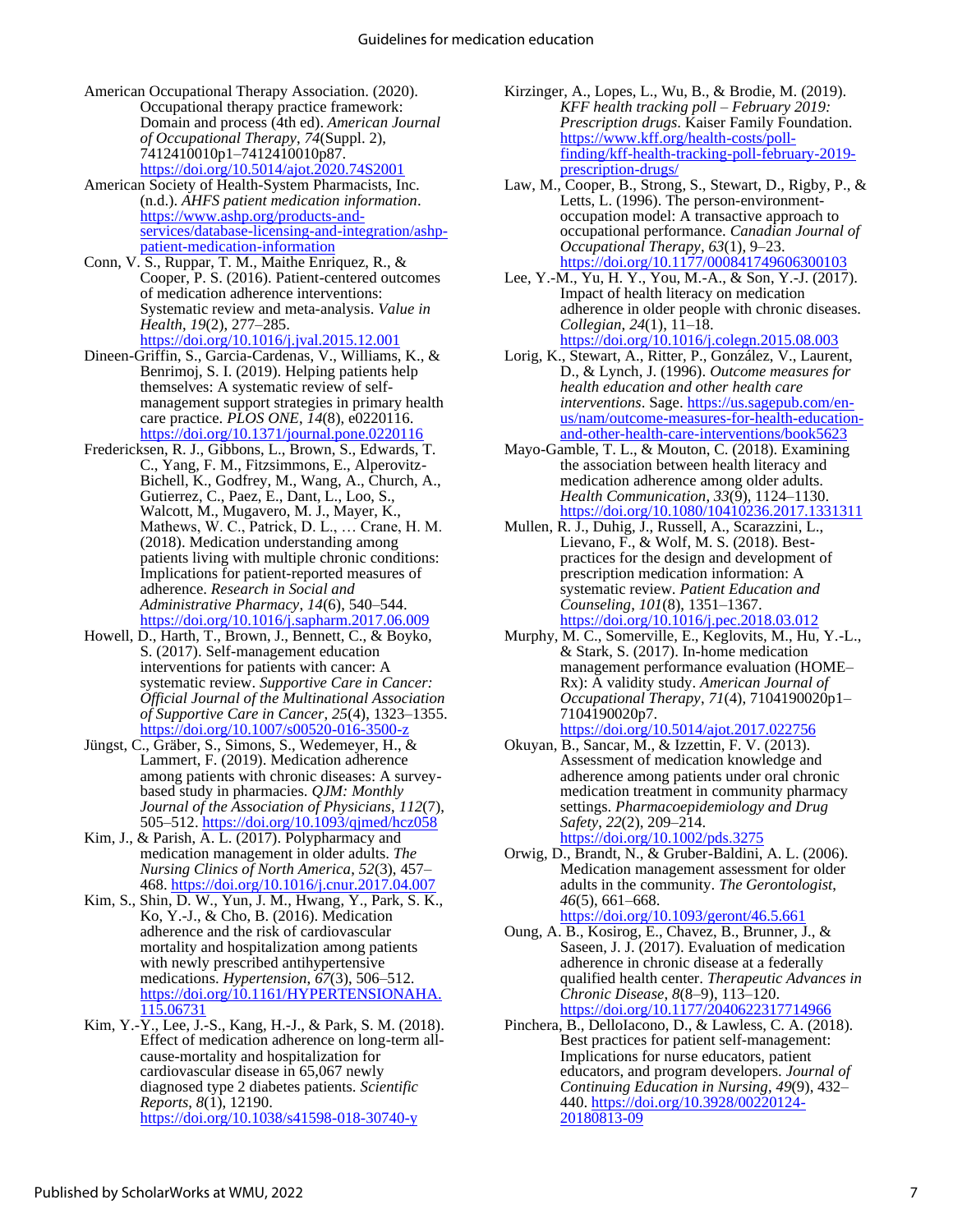- American Occupational Therapy Association. (2020). Occupational therapy practice framework: Domain and process (4th ed). *American Journal of Occupational Therapy*, *74*(Suppl. 2), 7412410010p1–7412410010p87. <https://doi.org/10.5014/ajot.2020.74S2001>
- American Society of Health-System Pharmacists, Inc. (n.d.). *AHFS patient medication information*. [https://www.ashp.org/products-and](https://www.ashp.org/products-and-services/database-licensing-and-integration/ashp-patient-medication-information)[services/database-licensing-and-integration/ashp](https://www.ashp.org/products-and-services/database-licensing-and-integration/ashp-patient-medication-information)[patient-medication-information](https://www.ashp.org/products-and-services/database-licensing-and-integration/ashp-patient-medication-information)
- Conn, V. S., Ruppar, T. M., Maithe Enriquez, R., & Cooper, P. S. (2016). Patient-centered outcomes of medication adherence interventions: Systematic review and meta-analysis. *Value in Health*, *19*(2), 277–285. <https://doi.org/10.1016/j.jval.2015.12.001>
- Dineen-Griffin, S., Garcia-Cardenas, V., Williams, K., & Benrimoj, S. I. (2019). Helping patients help themselves: A systematic review of selfmanagement support strategies in primary health care practice. *PLOS ONE*, *14*(8), e0220116. <https://doi.org/10.1371/journal.pone.0220116>
- Fredericksen, R. J., Gibbons, L., Brown, S., Edwards, T. C., Yang, F. M., Fitzsimmons, E., Alperovitz-Bichell, K., Godfrey, M., Wang, A., Church, A., Gutierrez, C., Paez, E., Dant, L., Loo, S., Walcott, M., Mugavero, M. J., Mayer, K., Mathews, W. C., Patrick, D. L., … Crane, H. M. (2018). Medication understanding among patients living with multiple chronic conditions: Implications for patient-reported measures of adherence. *Research in Social and Administrative Pharmacy*, *14*(6), 540–544. <https://doi.org/10.1016/j.sapharm.2017.06.009>
- Howell, D., Harth, T., Brown, J., Bennett, C., & Boyko, S. (2017). Self-management education interventions for patients with cancer: A systematic review. *Supportive Care in Cancer: Official Journal of the Multinational Association of Supportive Care in Cancer*, *25*(4), 1323–1355. <https://doi.org/10.1007/s00520-016-3500-z>
- Jüngst, C., Gräber, S., Simons, S., Wedemeyer, H., & Lammert, F. (2019). Medication adherence among patients with chronic diseases: A surveybased study in pharmacies. *QJM: Monthly Journal of the Association of Physicians*, *112*(7), 505–512.<https://doi.org/10.1093/qjmed/hcz058>
- Kim, J., & Parish, A. L. (2017). Polypharmacy and medication management in older adults. *The Nursing Clinics of North America*, *52*(3), 457– 468.<https://doi.org/10.1016/j.cnur.2017.04.007>
- Kim, S., Shin, D. W., Yun, J. M., Hwang, Y., Park, S. K., Ko, Y.-J., & Cho, B. (2016). Medication adherence and the risk of cardiovascular mortality and hospitalization among patients with newly prescribed antihypertensive medications. *Hypertension*, *67*(3), 506–512. [https://doi.org/10.1161/HYPERTENSIONAHA.](https://doi.org/10.1161/HYPERTENSIONAHA.115.06731) [115.06731](https://doi.org/10.1161/HYPERTENSIONAHA.115.06731)
- Kim, Y.-Y., Lee, J.-S., Kang, H.-J., & Park, S. M. (2018). Effect of medication adherence on long-term allcause-mortality and hospitalization for cardiovascular disease in 65,067 newly diagnosed type 2 diabetes patients. *Scientific Reports*, *8*(1), 12190. <https://doi.org/10.1038/s41598-018-30740-y>
- Kirzinger, A., Lopes, L., Wu, B., & Brodie, M. (2019). *KFF health tracking poll – February 2019: Prescription drugs*. Kaiser Family Foundation. [https://www.kff.org/health-costs/poll](https://www.kff.org/health-costs/poll-finding/kff-health-tracking-poll-february-2019-prescription-drugs/)[finding/kff-health-tracking-poll-february-2019](https://www.kff.org/health-costs/poll-finding/kff-health-tracking-poll-february-2019-prescription-drugs/) [prescription-drugs/](https://www.kff.org/health-costs/poll-finding/kff-health-tracking-poll-february-2019-prescription-drugs/)
- Law, M., Cooper, B., Strong, S., Stewart, D., Rigby, P., & Letts, L. (1996). The person-environmentoccupation model: A transactive approach to occupational performance. *Canadian Journal of Occupational Therapy*, *63*(1), 9–23. <https://doi.org/10.1177/000841749606300103>
- Lee, Y.-M., Yu, H. Y., You, M.-A., & Son, Y.-J. (2017). Impact of health literacy on medication adherence in older people with chronic diseases. *Collegian*, *24*(1), 11–18. <https://doi.org/10.1016/j.colegn.2015.08.003>
- Lorig, K., Stewart, A., Ritter, P., González, V., Laurent, D., & Lynch, J. (1996). *Outcome measures for health education and other health care interventions*. Sage[. https://us.sagepub.com/en](https://us.sagepub.com/en-us/nam/outcome-measures-for-health-education-and-other-health-care-interventions/book5623)[us/nam/outcome-measures-for-health-education](https://us.sagepub.com/en-us/nam/outcome-measures-for-health-education-and-other-health-care-interventions/book5623)[and-other-health-care-interventions/book5623](https://us.sagepub.com/en-us/nam/outcome-measures-for-health-education-and-other-health-care-interventions/book5623)
- Mayo-Gamble, T. L., & Mouton, C. (2018). Examining the association between health literacy and medication adherence among older adults. *Health Communication*, *33*(9), 1124–1130. <https://doi.org/10.1080/10410236.2017.1331311>
- Mullen, R. J., Duhig, J., Russell, A., Scarazzini, L., Lievano, F., & Wolf, M. S. (2018). Bestpractices for the design and development of prescription medication information: A systematic review. *Patient Education and Counseling*, *101*(8), 1351–1367. <https://doi.org/10.1016/j.pec.2018.03.012>
- Murphy, M. C., Somerville, E., Keglovits, M., Hu, Y.-L., & Stark, S. (2017). In-home medication management performance evaluation (HOME– Rx): A validity study. *American Journal of Occupational Therapy*, *71*(4), 7104190020p1– 7104190020p7. <https://doi.org/10.5014/ajot.2017.022756>
- Okuyan, B., Sancar, M., & Izzettin, F. V. (2013). Assessment of medication knowledge and adherence among patients under oral chronic medication treatment in community pharmacy settings. *Pharmacoepidemiology and Drug Safety*, *22*(2), 209–214. <https://doi.org/10.1002/pds.3275>
- Orwig, D., Brandt, N., & Gruber-Baldini, A. L. (2006). Medication management assessment for older adults in the community. *The Gerontologist*, *46*(5), 661–668. <https://doi.org/10.1093/geront/46.5.661>
- Oung, A. B., Kosirog, E., Chavez, B., Brunner, J., & Saseen, J. J. (2017). Evaluation of medication adherence in chronic disease at a federally qualified health center. *Therapeutic Advances in Chronic Disease*, *8*(8–9), 113–120. <https://doi.org/10.1177/2040622317714966>
- Pinchera, B., DelloIacono, D., & Lawless, C. A. (2018). Best practices for patient self-management: Implications for nurse educators, patient educators, and program developers. *Journal of Continuing Education in Nursing*, *49*(9), 432– 440. [https://doi.org/10.3928/00220124-](https://doi.org/10.3928/00220124-20180813-09) [20180813-09](https://doi.org/10.3928/00220124-20180813-09)